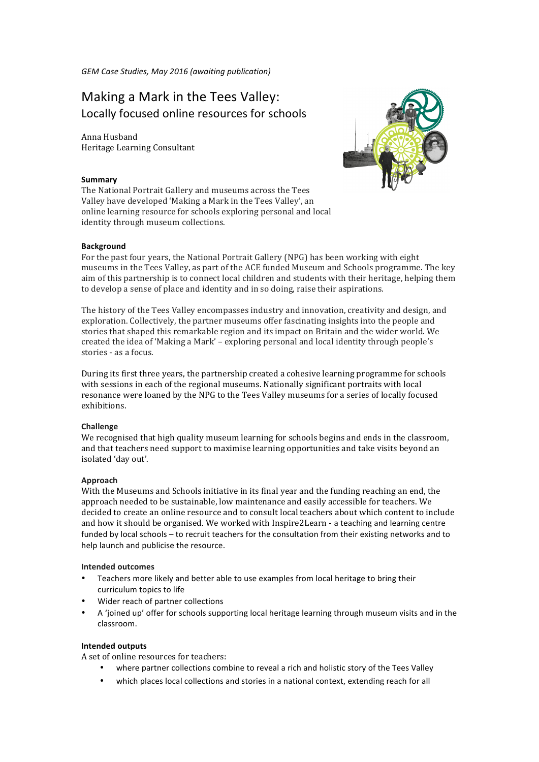*GEM Case Studies, May 2016 (awaiting publication)*

# Making a Mark in the Tees Valley: Locally focused online resources for schools

Anna Husband Heritage Learning Consultant

## **Summary**

The National Portrait Gallery and museums across the Tees Valley have developed 'Making a Mark in the Tees Valley', an online learning resource for schools exploring personal and local identity through museum collections.

## **Background**

For the past four years, the National Portrait Gallery (NPG) has been working with eight museums in the Tees Valley, as part of the ACE funded Museum and Schools programme. The key aim of this partnership is to connect local children and students with their heritage, helping them to develop a sense of place and identity and in so doing, raise their aspirations.

The history of the Tees Valley encompasses industry and innovation, creativity and design, and exploration. Collectively, the partner museums offer fascinating insights into the people and stories that shaped this remarkable region and its impact on Britain and the wider world. We created the idea of 'Making a Mark' – exploring personal and local identity through people's stories - as a focus.

During its first three years, the partnership created a cohesive learning programme for schools with sessions in each of the regional museums. Nationally significant portraits with local resonance were loaned by the NPG to the Tees Valley museums for a series of locally focused exhibitions. 

### **Challenge**

We recognised that high quality museum learning for schools begins and ends in the classroom, and that teachers need support to maximise learning opportunities and take visits beyond an isolated 'day out'.

# **Approach**

With the Museums and Schools initiative in its final year and the funding reaching an end, the approach needed to be sustainable, low maintenance and easily accessible for teachers. We decided to create an online resource and to consult local teachers about which content to include and how it should be organised. We worked with Inspire2Learn - a teaching and learning centre funded by local schools – to recruit teachers for the consultation from their existing networks and to help launch and publicise the resource.

### **Intended outcomes**

- Teachers more likely and better able to use examples from local heritage to bring their curriculum topics to life
- Wider reach of partner collections
- A 'ioined up' offer for schools supporting local heritage learning through museum visits and in the classroom.

### **Intended outputs**

A set of online resources for teachers:

- where partner collections combine to reveal a rich and holistic story of the Tees Valley
- which places local collections and stories in a national context, extending reach for all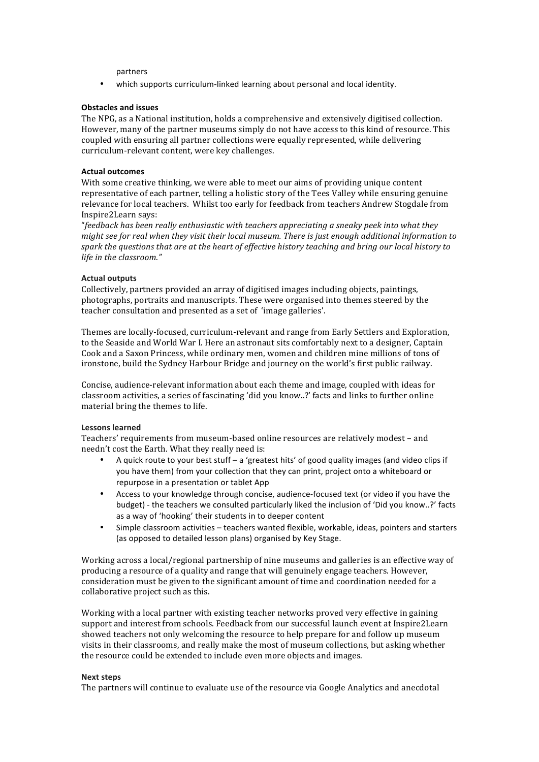partners

which supports curriculum-linked learning about personal and local identity.

### **Obstacles and issues**

The NPG, as a National institution, holds a comprehensive and extensively digitised collection. However, many of the partner museums simply do not have access to this kind of resource. This coupled with ensuring all partner collections were equally represented, while delivering curriculum-relevant content, were key challenges.

## **Actual outcomes**

With some creative thinking, we were able to meet our aims of providing unique content representative of each partner, telling a holistic story of the Tees Valley while ensuring genuine relevance for local teachers. Whilst too early for feedback from teachers Andrew Stogdale from Inspire2Learn says:

"*feedback has been really enthusiastic with teachers appreciating a sneaky peek into what they might* see for real when they visit their local museum. There is just enough additional information to spark the questions that are at the heart of effective history teaching and bring our local history to *life in the classroom."* 

### **Actual outputs**

Collectively, partners provided an array of digitised images including objects, paintings, photographs, portraits and manuscripts. These were organised into themes steered by the teacher consultation and presented as a set of 'image galleries'.

Themes are locally-focused, curriculum-relevant and range from Early Settlers and Exploration, to the Seaside and World War I. Here an astronaut sits comfortably next to a designer, Captain Cook and a Saxon Princess, while ordinary men, women and children mine millions of tons of ironstone, build the Sydney Harbour Bridge and journey on the world's first public railway.

Concise, audience-relevant information about each theme and image, coupled with ideas for classroom activities, a series of fascinating 'did you know..?' facts and links to further online material bring the themes to life.

# **Lessons learned**

Teachers' requirements from museum-based online resources are relatively modest - and needn't cost the Earth. What they really need is:

- A quick route to your best stuff a 'greatest hits' of good quality images (and video clips if you have them) from your collection that they can print, project onto a whiteboard or repurpose in a presentation or tablet App
- Access to your knowledge through concise, audience-focused text (or video if you have the budget) - the teachers we consulted particularly liked the inclusion of 'Did you know..?' facts as a way of 'hooking' their students in to deeper content
- Simple classroom activities teachers wanted flexible, workable, ideas, pointers and starters (as opposed to detailed lesson plans) organised by Key Stage.

Working across a local/regional partnership of nine museums and galleries is an effective way of producing a resource of a quality and range that will genuinely engage teachers. However, consideration must be given to the significant amount of time and coordination needed for a collaborative project such as this.

Working with a local partner with existing teacher networks proved very effective in gaining support and interest from schools. Feedback from our successful launch event at Inspire2Learn showed teachers not only welcoming the resource to help prepare for and follow up museum visits in their classrooms, and really make the most of museum collections, but asking whether the resource could be extended to include even more objects and images.

### **Next steps**

The partners will continue to evaluate use of the resource via Google Analytics and anecdotal